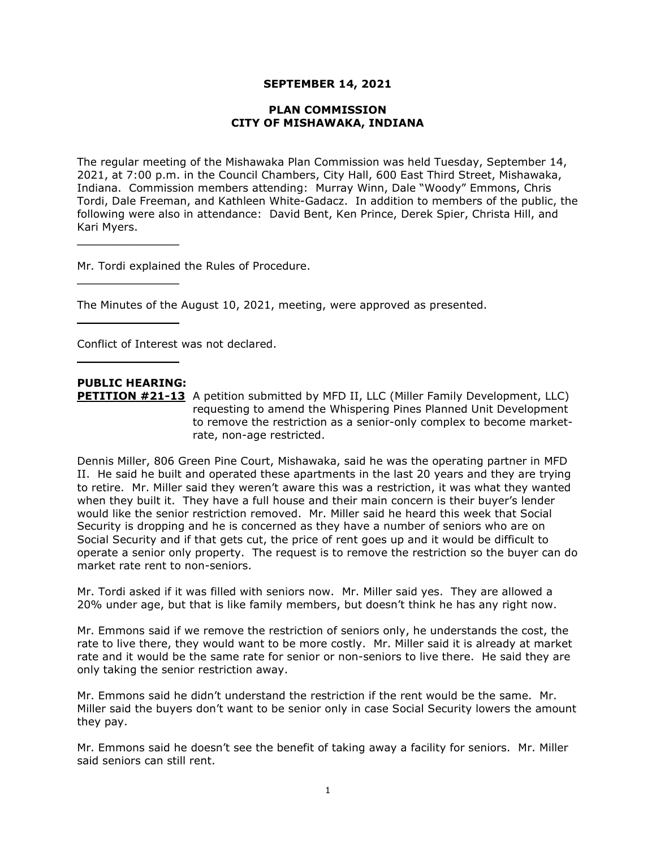#### **SEPTEMBER 14, 2021**

#### **PLAN COMMISSION CITY OF MISHAWAKA, INDIANA**

The regular meeting of the Mishawaka Plan Commission was held Tuesday, September 14, 2021, at 7:00 p.m. in the Council Chambers, City Hall, 600 East Third Street, Mishawaka, Indiana. Commission members attending: Murray Winn, Dale "Woody" Emmons, Chris Tordi, Dale Freeman, and Kathleen White-Gadacz. In addition to members of the public, the following were also in attendance: David Bent, Ken Prince, Derek Spier, Christa Hill, and Kari Myers.

Mr. Tordi explained the Rules of Procedure.

The Minutes of the August 10, 2021, meeting, were approved as presented.

Conflict of Interest was not declared.

# **PUBLIC HEARING:**

 $\overline{\phantom{a}}$  , where  $\overline{\phantom{a}}$  , where  $\overline{\phantom{a}}$ 

 $\overline{\phantom{a}}$  , where  $\overline{\phantom{a}}$  , where  $\overline{\phantom{a}}$ 

 $\overline{\phantom{a}}$  , where  $\overline{\phantom{a}}$ 

 $\overline{\phantom{a}}$  , where  $\overline{\phantom{a}}$  , where  $\overline{\phantom{a}}$ 

**PETITION #21-13** A petition submitted by MFD II, LLC (Miller Family Development, LLC) requesting to amend the Whispering Pines Planned Unit Development to remove the restriction as a senior-only complex to become marketrate, non-age restricted.

Dennis Miller, 806 Green Pine Court, Mishawaka, said he was the operating partner in MFD II. He said he built and operated these apartments in the last 20 years and they are trying to retire. Mr. Miller said they weren't aware this was a restriction, it was what they wanted when they built it. They have a full house and their main concern is their buyer's lender would like the senior restriction removed. Mr. Miller said he heard this week that Social Security is dropping and he is concerned as they have a number of seniors who are on Social Security and if that gets cut, the price of rent goes up and it would be difficult to operate a senior only property. The request is to remove the restriction so the buyer can do market rate rent to non-seniors.

Mr. Tordi asked if it was filled with seniors now. Mr. Miller said yes. They are allowed a 20% under age, but that is like family members, but doesn't think he has any right now.

Mr. Emmons said if we remove the restriction of seniors only, he understands the cost, the rate to live there, they would want to be more costly. Mr. Miller said it is already at market rate and it would be the same rate for senior or non-seniors to live there. He said they are only taking the senior restriction away.

Mr. Emmons said he didn't understand the restriction if the rent would be the same. Mr. Miller said the buyers don't want to be senior only in case Social Security lowers the amount they pay.

Mr. Emmons said he doesn't see the benefit of taking away a facility for seniors. Mr. Miller said seniors can still rent.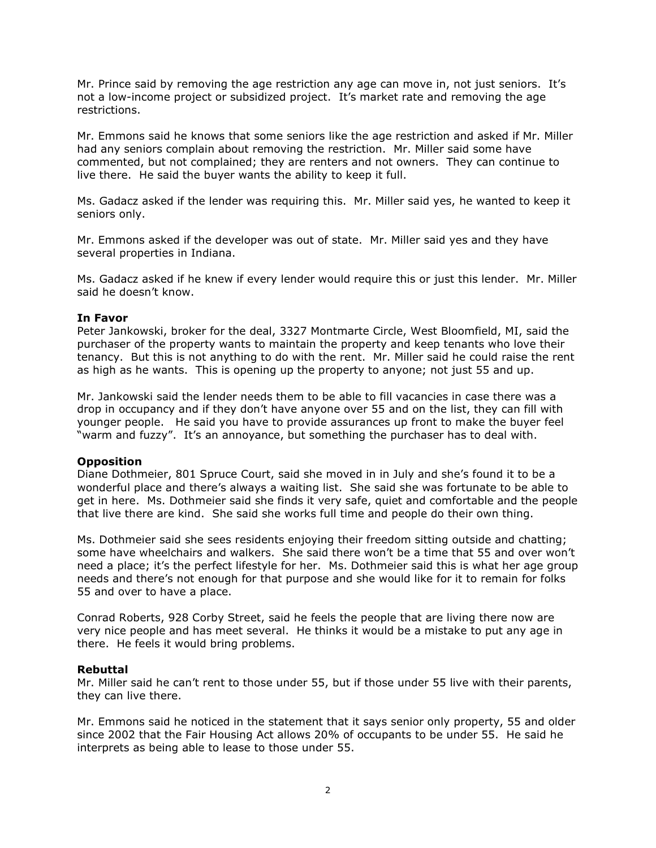Mr. Prince said by removing the age restriction any age can move in, not just seniors. It's not a low-income project or subsidized project. It's market rate and removing the age restrictions.

Mr. Emmons said he knows that some seniors like the age restriction and asked if Mr. Miller had any seniors complain about removing the restriction. Mr. Miller said some have commented, but not complained; they are renters and not owners. They can continue to live there. He said the buyer wants the ability to keep it full.

Ms. Gadacz asked if the lender was requiring this. Mr. Miller said yes, he wanted to keep it seniors only.

Mr. Emmons asked if the developer was out of state. Mr. Miller said yes and they have several properties in Indiana.

Ms. Gadacz asked if he knew if every lender would require this or just this lender. Mr. Miller said he doesn't know.

#### **In Favor**

Peter Jankowski, broker for the deal, 3327 Montmarte Circle, West Bloomfield, MI, said the purchaser of the property wants to maintain the property and keep tenants who love their tenancy. But this is not anything to do with the rent. Mr. Miller said he could raise the rent as high as he wants. This is opening up the property to anyone; not just 55 and up.

Mr. Jankowski said the lender needs them to be able to fill vacancies in case there was a drop in occupancy and if they don't have anyone over 55 and on the list, they can fill with younger people. He said you have to provide assurances up front to make the buyer feel "warm and fuzzy". It's an annoyance, but something the purchaser has to deal with.

#### **Opposition**

Diane Dothmeier, 801 Spruce Court, said she moved in in July and she's found it to be a wonderful place and there's always a waiting list. She said she was fortunate to be able to get in here. Ms. Dothmeier said she finds it very safe, quiet and comfortable and the people that live there are kind. She said she works full time and people do their own thing.

Ms. Dothmeier said she sees residents enjoying their freedom sitting outside and chatting; some have wheelchairs and walkers. She said there won't be a time that 55 and over won't need a place; it's the perfect lifestyle for her. Ms. Dothmeier said this is what her age group needs and there's not enough for that purpose and she would like for it to remain for folks 55 and over to have a place.

Conrad Roberts, 928 Corby Street, said he feels the people that are living there now are very nice people and has meet several. He thinks it would be a mistake to put any age in there. He feels it would bring problems.

#### **Rebuttal**

Mr. Miller said he can't rent to those under 55, but if those under 55 live with their parents, they can live there.

Mr. Emmons said he noticed in the statement that it says senior only property, 55 and older since 2002 that the Fair Housing Act allows 20% of occupants to be under 55. He said he interprets as being able to lease to those under 55.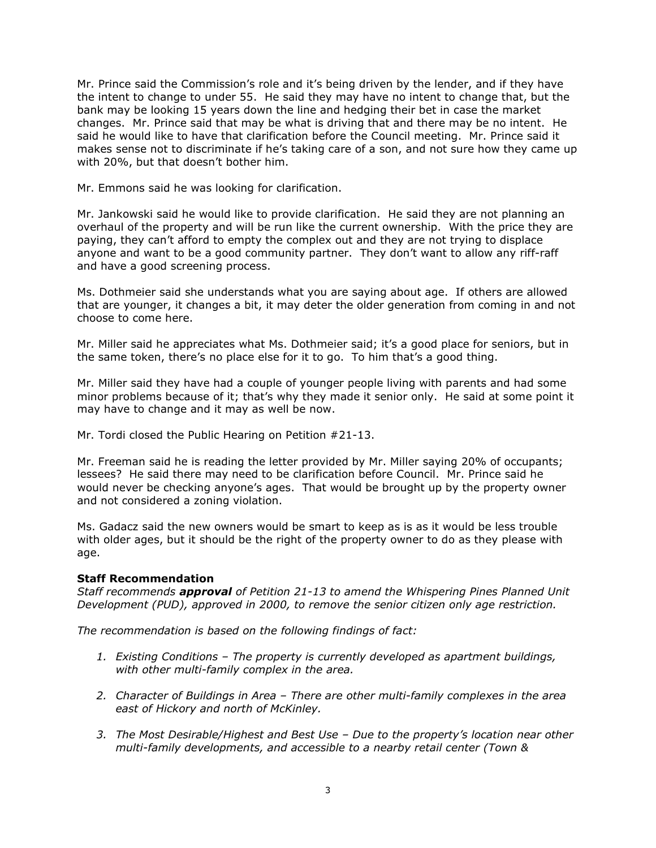Mr. Prince said the Commission's role and it's being driven by the lender, and if they have the intent to change to under 55. He said they may have no intent to change that, but the bank may be looking 15 years down the line and hedging their bet in case the market changes. Mr. Prince said that may be what is driving that and there may be no intent. He said he would like to have that clarification before the Council meeting. Mr. Prince said it makes sense not to discriminate if he's taking care of a son, and not sure how they came up with 20%, but that doesn't bother him.

Mr. Emmons said he was looking for clarification.

Mr. Jankowski said he would like to provide clarification. He said they are not planning an overhaul of the property and will be run like the current ownership. With the price they are paying, they can't afford to empty the complex out and they are not trying to displace anyone and want to be a good community partner. They don't want to allow any riff-raff and have a good screening process.

Ms. Dothmeier said she understands what you are saying about age. If others are allowed that are younger, it changes a bit, it may deter the older generation from coming in and not choose to come here.

Mr. Miller said he appreciates what Ms. Dothmeier said; it's a good place for seniors, but in the same token, there's no place else for it to go. To him that's a good thing.

Mr. Miller said they have had a couple of younger people living with parents and had some minor problems because of it; that's why they made it senior only. He said at some point it may have to change and it may as well be now.

Mr. Tordi closed the Public Hearing on Petition #21-13.

Mr. Freeman said he is reading the letter provided by Mr. Miller saying 20% of occupants; lessees? He said there may need to be clarification before Council. Mr. Prince said he would never be checking anyone's ages. That would be brought up by the property owner and not considered a zoning violation.

Ms. Gadacz said the new owners would be smart to keep as is as it would be less trouble with older ages, but it should be the right of the property owner to do as they please with age.

## **Staff Recommendation**

*Staff recommends approval of Petition 21-13 to amend the Whispering Pines Planned Unit Development (PUD), approved in 2000, to remove the senior citizen only age restriction.*

*The recommendation is based on the following findings of fact:*

- *1. Existing Conditions – The property is currently developed as apartment buildings, with other multi-family complex in the area.*
- *2. Character of Buildings in Area – There are other multi-family complexes in the area east of Hickory and north of McKinley.*
- *3. The Most Desirable/Highest and Best Use – Due to the property's location near other multi-family developments, and accessible to a nearby retail center (Town &*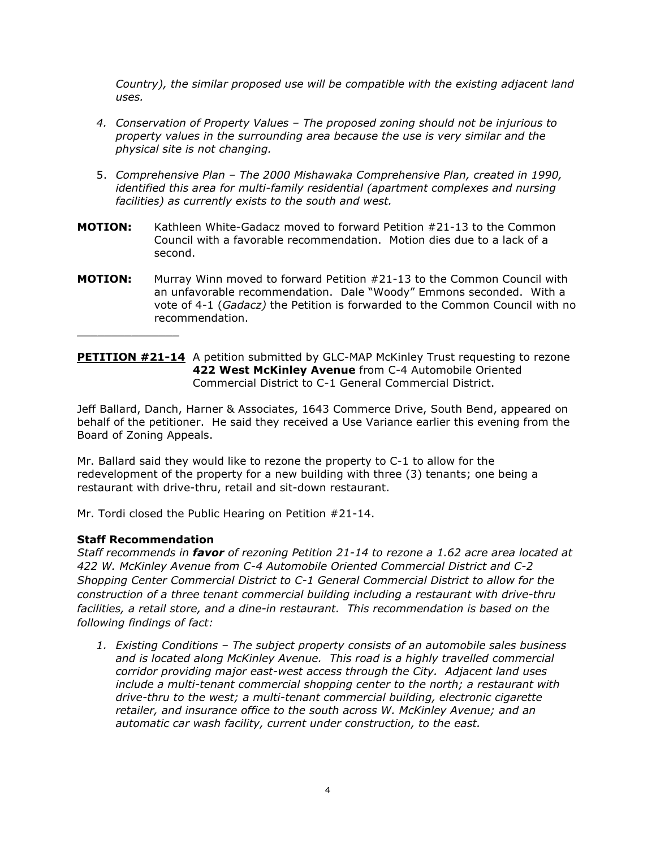*Country), the similar proposed use will be compatible with the existing adjacent land uses.*

- *4. Conservation of Property Values – The proposed zoning should not be injurious to property values in the surrounding area because the use is very similar and the physical site is not changing.*
- 5. *Comprehensive Plan – The 2000 Mishawaka Comprehensive Plan, created in 1990, identified this area for multi-family residential (apartment complexes and nursing facilities) as currently exists to the south and west.*
- **MOTION:** Kathleen White-Gadacz moved to forward Petition #21-13 to the Common Council with a favorable recommendation. Motion dies due to a lack of a second.
- **MOTION:** Murray Winn moved to forward Petition #21-13 to the Common Council with an unfavorable recommendation. Dale "Woody" Emmons seconded. With a vote of 4-1 (*Gadacz)* the Petition is forwarded to the Common Council with no recommendation.

## **PETITION #21-14** A petition submitted by GLC-MAP McKinley Trust requesting to rezone **422 West McKinley Avenue** from C-4 Automobile Oriented Commercial District to C-1 General Commercial District.

Jeff Ballard, Danch, Harner & Associates, 1643 Commerce Drive, South Bend, appeared on behalf of the petitioner. He said they received a Use Variance earlier this evening from the Board of Zoning Appeals.

Mr. Ballard said they would like to rezone the property to C-1 to allow for the redevelopment of the property for a new building with three (3) tenants; one being a restaurant with drive-thru, retail and sit-down restaurant.

Mr. Tordi closed the Public Hearing on Petition #21-14.

## **Staff Recommendation**

 $\overline{\phantom{a}}$  , where  $\overline{\phantom{a}}$  , where  $\overline{\phantom{a}}$ 

*Staff recommends in favor of rezoning Petition 21-14 to rezone a 1.62 acre area located at 422 W. McKinley Avenue from C-4 Automobile Oriented Commercial District and C-2 Shopping Center Commercial District to C-1 General Commercial District to allow for the construction of a three tenant commercial building including a restaurant with drive-thru facilities, a retail store, and a dine-in restaurant. This recommendation is based on the following findings of fact:*

*1. Existing Conditions – The subject property consists of an automobile sales business and is located along McKinley Avenue. This road is a highly travelled commercial corridor providing major east-west access through the City. Adjacent land uses include a multi-tenant commercial shopping center to the north; a restaurant with drive-thru to the west; a multi-tenant commercial building, electronic cigarette retailer, and insurance office to the south across W. McKinley Avenue; and an automatic car wash facility, current under construction, to the east.*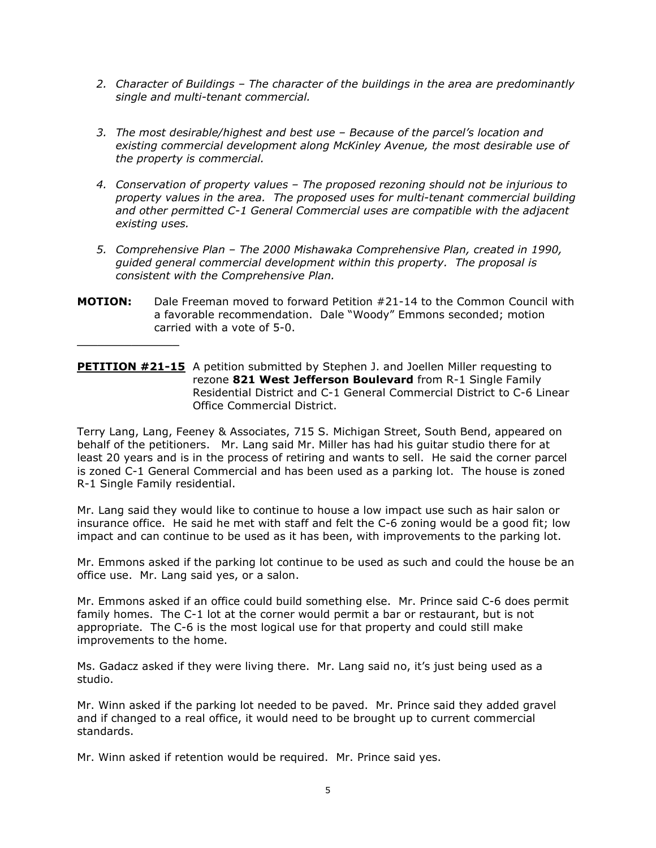- *2. Character of Buildings – The character of the buildings in the area are predominantly single and multi-tenant commercial.*
- *3. The most desirable/highest and best use – Because of the parcel's location and existing commercial development along McKinley Avenue, the most desirable use of the property is commercial.*
- *4. Conservation of property values – The proposed rezoning should not be injurious to property values in the area. The proposed uses for multi-tenant commercial building and other permitted C-1 General Commercial uses are compatible with the adjacent existing uses.*
- *5. Comprehensive Plan – The 2000 Mishawaka Comprehensive Plan, created in 1990, guided general commercial development within this property. The proposal is consistent with the Comprehensive Plan.*
- **MOTION:** Dale Freeman moved to forward Petition #21-14 to the Common Council with a favorable recommendation. Dale "Woody" Emmons seconded; motion carried with a vote of 5-0.

 $\overline{\phantom{a}}$  , where  $\overline{\phantom{a}}$  , where  $\overline{\phantom{a}}$ 

**PETITION #21-15** A petition submitted by Stephen J. and Joellen Miller requesting to rezone **821 West Jefferson Boulevard** from R-1 Single Family Residential District and C-1 General Commercial District to C-6 Linear Office Commercial District.

Terry Lang, Lang, Feeney & Associates, 715 S. Michigan Street, South Bend, appeared on behalf of the petitioners. Mr. Lang said Mr. Miller has had his guitar studio there for at least 20 years and is in the process of retiring and wants to sell. He said the corner parcel is zoned C-1 General Commercial and has been used as a parking lot. The house is zoned R-1 Single Family residential.

Mr. Lang said they would like to continue to house a low impact use such as hair salon or insurance office. He said he met with staff and felt the C-6 zoning would be a good fit; low impact and can continue to be used as it has been, with improvements to the parking lot.

Mr. Emmons asked if the parking lot continue to be used as such and could the house be an office use. Mr. Lang said yes, or a salon.

Mr. Emmons asked if an office could build something else. Mr. Prince said C-6 does permit family homes. The C-1 lot at the corner would permit a bar or restaurant, but is not appropriate. The C-6 is the most logical use for that property and could still make improvements to the home.

Ms. Gadacz asked if they were living there. Mr. Lang said no, it's just being used as a studio.

Mr. Winn asked if the parking lot needed to be paved. Mr. Prince said they added gravel and if changed to a real office, it would need to be brought up to current commercial standards.

Mr. Winn asked if retention would be required. Mr. Prince said yes.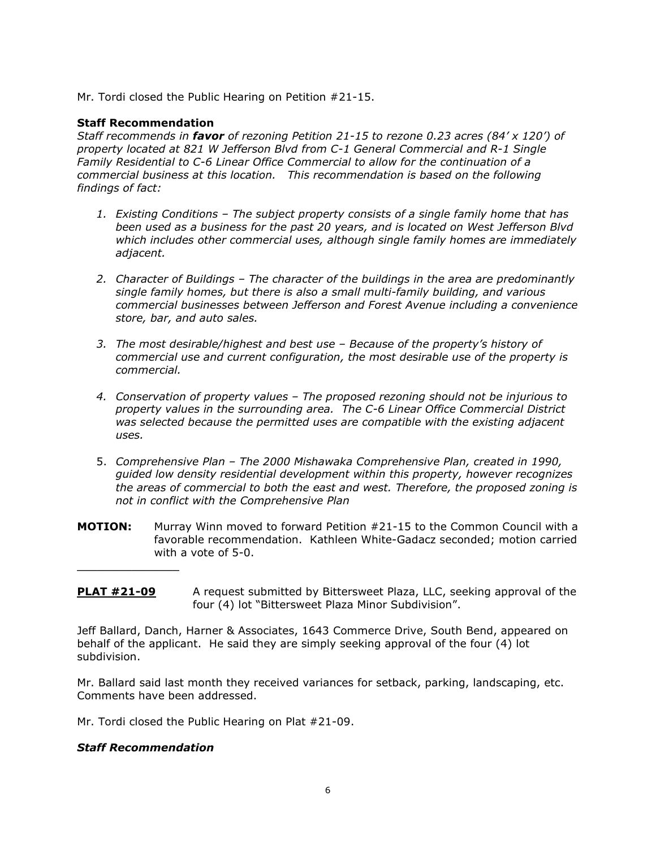Mr. Tordi closed the Public Hearing on Petition #21-15.

#### **Staff Recommendation**

*Staff recommends in favor of rezoning Petition 21-15 to rezone 0.23 acres (84' x 120') of property located at 821 W Jefferson Blvd from C-1 General Commercial and R-1 Single Family Residential to C-6 Linear Office Commercial to allow for the continuation of a commercial business at this location. This recommendation is based on the following findings of fact:*

- *1. Existing Conditions – The subject property consists of a single family home that has been used as a business for the past 20 years, and is located on West Jefferson Blvd which includes other commercial uses, although single family homes are immediately adjacent.*
- *2. Character of Buildings – The character of the buildings in the area are predominantly single family homes, but there is also a small multi-family building, and various commercial businesses between Jefferson and Forest Avenue including a convenience store, bar, and auto sales.*
- *3. The most desirable/highest and best use – Because of the property's history of commercial use and current configuration, the most desirable use of the property is commercial.*
- *4. Conservation of property values – The proposed rezoning should not be injurious to property values in the surrounding area. The C-6 Linear Office Commercial District was selected because the permitted uses are compatible with the existing adjacent uses.*
- 5. *Comprehensive Plan – The 2000 Mishawaka Comprehensive Plan, created in 1990, guided low density residential development within this property, however recognizes the areas of commercial to both the east and west. Therefore, the proposed zoning is not in conflict with the Comprehensive Plan*
- **MOTION:** Murray Winn moved to forward Petition #21-15 to the Common Council with a favorable recommendation. Kathleen White-Gadacz seconded; motion carried with a vote of 5-0.
- **PLAT #21-09** A request submitted by Bittersweet Plaza, LLC, seeking approval of the four (4) lot "Bittersweet Plaza Minor Subdivision".

Jeff Ballard, Danch, Harner & Associates, 1643 Commerce Drive, South Bend, appeared on behalf of the applicant. He said they are simply seeking approval of the four (4) lot subdivision.

Mr. Ballard said last month they received variances for setback, parking, landscaping, etc. Comments have been addressed.

Mr. Tordi closed the Public Hearing on Plat #21-09.

## *Staff Recommendation*

 $\overline{\phantom{a}}$  , where  $\overline{\phantom{a}}$  , where  $\overline{\phantom{a}}$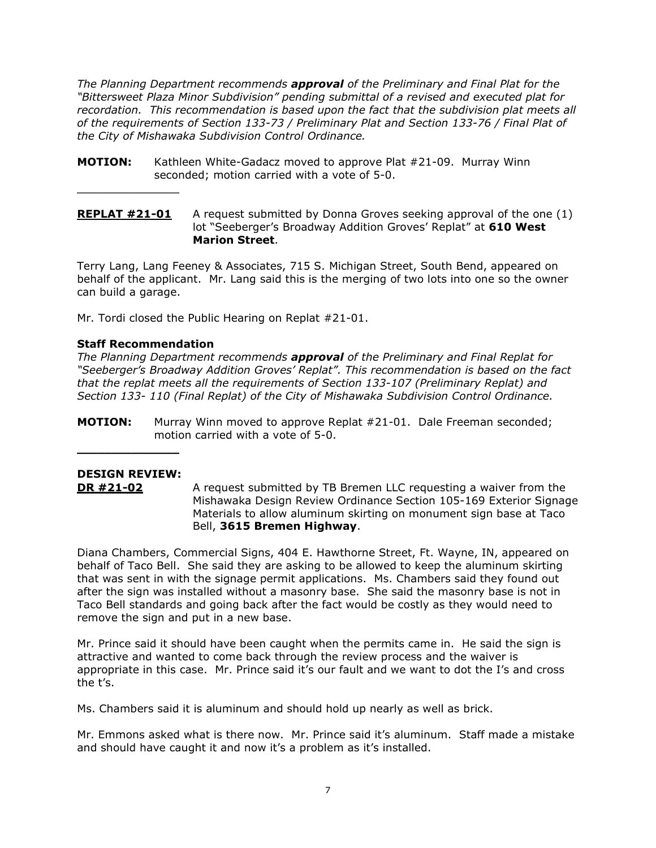*The Planning Department recommends approval of the Preliminary and Final Plat for the "Bittersweet Plaza Minor Subdivision" pending submittal of a revised and executed plat for recordation. This recommendation is based upon the fact that the subdivision plat meets all of the requirements of Section 133-73 / Preliminary Plat and Section 133-76 / Final Plat of the City of Mishawaka Subdivision Control Ordinance.*

- **MOTION:** Kathleen White-Gadacz moved to approve Plat #21-09. Murray Winn seconded; motion carried with a vote of 5-0.
- **REPLAT #21-01** A request submitted by Donna Groves seeking approval of the one (1) lot "Seeberger's Broadway Addition Groves' Replat" at **610 West Marion Street**.

Terry Lang, Lang Feeney & Associates, 715 S. Michigan Street, South Bend, appeared on behalf of the applicant. Mr. Lang said this is the merging of two lots into one so the owner can build a garage.

Mr. Tordi closed the Public Hearing on Replat #21-01.

# **Staff Recommendation**

 $\overline{\phantom{a}}$  , where  $\overline{\phantom{a}}$ 

*The Planning Department recommends approval of the Preliminary and Final Replat for "Seeberger's Broadway Addition Groves' Replat". This recommendation is based on the fact that the replat meets all the requirements of Section 133-107 (Preliminary Replat) and Section 133- 110 (Final Replat) of the City of Mishawaka Subdivision Control Ordinance.*

**MOTION:** Murray Winn moved to approve Replat #21-01. Dale Freeman seconded; motion carried with a vote of 5-0.

# **DESIGN REVIEW:**

 $\overline{\phantom{a}}$  , where  $\overline{\phantom{a}}$ 

**DR #21-02** A request submitted by TB Bremen LLC requesting a waiver from the Mishawaka Design Review Ordinance Section 105-169 Exterior Signage Materials to allow aluminum skirting on monument sign base at Taco Bell, **3615 Bremen Highway**.

Diana Chambers, Commercial Signs, 404 E. Hawthorne Street, Ft. Wayne, IN, appeared on behalf of Taco Bell. She said they are asking to be allowed to keep the aluminum skirting that was sent in with the signage permit applications. Ms. Chambers said they found out after the sign was installed without a masonry base. She said the masonry base is not in Taco Bell standards and going back after the fact would be costly as they would need to remove the sign and put in a new base.

Mr. Prince said it should have been caught when the permits came in. He said the sign is attractive and wanted to come back through the review process and the waiver is appropriate in this case. Mr. Prince said it's our fault and we want to dot the I's and cross the t's.

Ms. Chambers said it is aluminum and should hold up nearly as well as brick.

Mr. Emmons asked what is there now. Mr. Prince said it's aluminum. Staff made a mistake and should have caught it and now it's a problem as it's installed.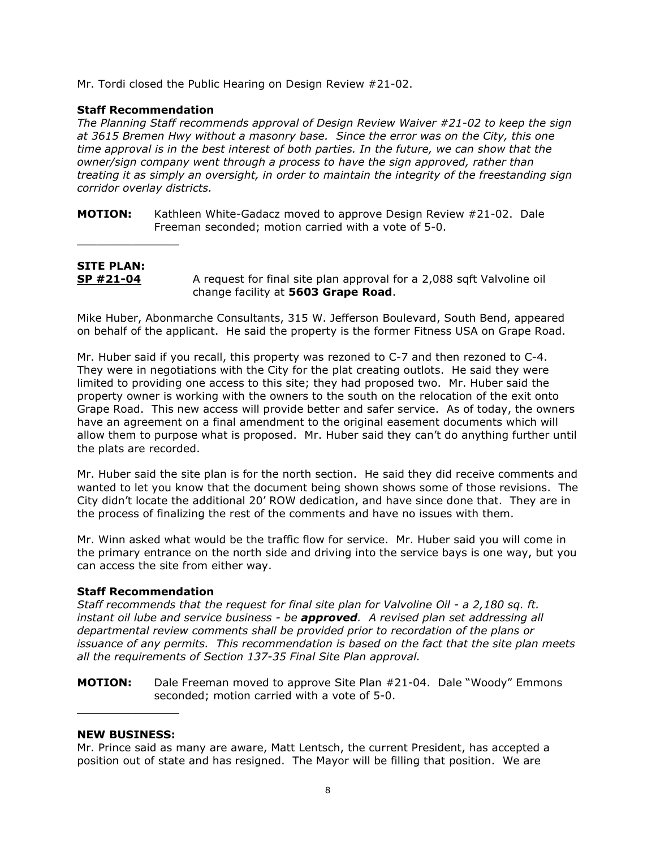Mr. Tordi closed the Public Hearing on Design Review #21-02.

#### **Staff Recommendation**

 $\overline{\phantom{a}}$  , where  $\overline{\phantom{a}}$  , where  $\overline{\phantom{a}}$ 

*The Planning Staff recommends approval of Design Review Waiver #21-02 to keep the sign at 3615 Bremen Hwy without a masonry base. Since the error was on the City, this one time approval is in the best interest of both parties. In the future, we can show that the owner/sign company went through a process to have the sign approved, rather than treating it as simply an oversight, in order to maintain the integrity of the freestanding sign corridor overlay districts.* 

**MOTION:** Kathleen White-Gadacz moved to approve Design Review #21-02. Dale Freeman seconded; motion carried with a vote of 5-0.

## **SITE PLAN: SP #21-04** A request for final site plan approval for a 2,088 sqft Valvoline oil change facility at **5603 Grape Road**.

Mike Huber, Abonmarche Consultants, 315 W. Jefferson Boulevard, South Bend, appeared on behalf of the applicant. He said the property is the former Fitness USA on Grape Road.

Mr. Huber said if you recall, this property was rezoned to C-7 and then rezoned to C-4. They were in negotiations with the City for the plat creating outlots. He said they were limited to providing one access to this site; they had proposed two. Mr. Huber said the property owner is working with the owners to the south on the relocation of the exit onto Grape Road. This new access will provide better and safer service. As of today, the owners have an agreement on a final amendment to the original easement documents which will allow them to purpose what is proposed. Mr. Huber said they can't do anything further until the plats are recorded.

Mr. Huber said the site plan is for the north section. He said they did receive comments and wanted to let you know that the document being shown shows some of those revisions. The City didn't locate the additional 20' ROW dedication, and have since done that. They are in the process of finalizing the rest of the comments and have no issues with them.

Mr. Winn asked what would be the traffic flow for service. Mr. Huber said you will come in the primary entrance on the north side and driving into the service bays is one way, but you can access the site from either way.

## **Staff Recommendation**

*Staff recommends that the request for final site plan for Valvoline Oil - a 2,180 sq. ft. instant oil lube and service business - be approved. A revised plan set addressing all departmental review comments shall be provided prior to recordation of the plans or issuance of any permits. This recommendation is based on the fact that the site plan meets all the requirements of Section 137-35 Final Site Plan approval.*

**MOTION:** Dale Freeman moved to approve Site Plan #21-04. Dale "Woody" Emmons seconded; motion carried with a vote of 5-0.

#### **NEW BUSINESS:**

 $\overline{\phantom{a}}$  , where  $\overline{\phantom{a}}$ 

Mr. Prince said as many are aware, Matt Lentsch, the current President, has accepted a position out of state and has resigned. The Mayor will be filling that position. We are